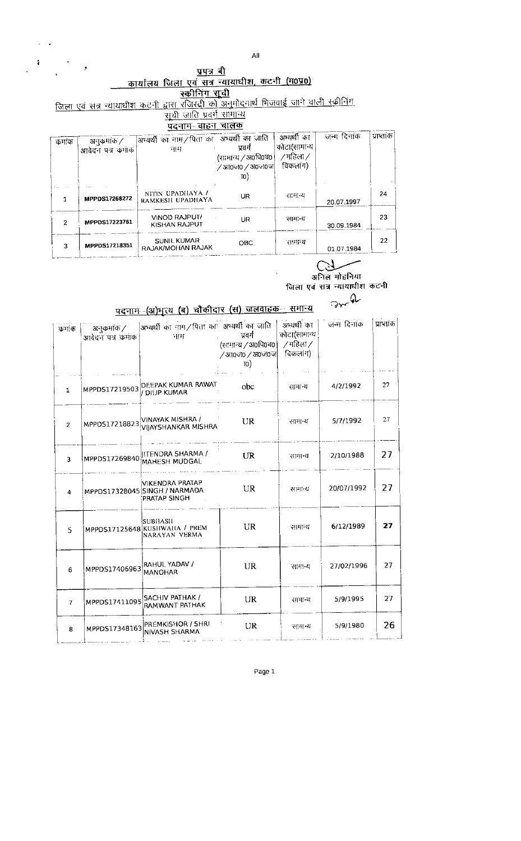$\mathsf{All}$ 

UR

**OBC** 

| $\mathbf{r}$ | э.                                | प्रपत्र बी                                                                               |                                                            |                                                    |             |            |
|--------------|-----------------------------------|------------------------------------------------------------------------------------------|------------------------------------------------------------|----------------------------------------------------|-------------|------------|
|              |                                   | कार्यालय जिला एवं सत्र न्यायाघीश, कटनी (म0प्र0)                                          |                                                            |                                                    |             |            |
|              |                                   | स्कीनिंग सूची                                                                            |                                                            |                                                    |             |            |
|              |                                   | जिला एवं सत्र न्यायाधीश कटनी द्वारा रजिस्ट्री को अनुमोदनार्थ मिजवाई जाने वाली स्क्रीनिंग |                                                            |                                                    |             |            |
|              |                                   | सूची <u>जाति प्रवर्ग सामान्</u> य                                                        |                                                            |                                                    |             |            |
|              |                                   | पदनाम-बाहन चालक                                                                          |                                                            |                                                    |             |            |
| कमाक         | अनुकर्माक /<br>आवेदन पत्र क्रमांक | आन्यर्थी का नाम/पिता का अभ्यर्थी का जाति<br>नाम                                          | प्रवर्ग<br>(सामान्थ / अ०पि०व०  <br>়∕ आठजठ ∕ अठजठज <br>TO) | अभ्यर्थी का<br>कोटा(सामान्य<br>/गहिला/<br>विकला ।) | जन्म दिनांक | प्राप्तांक |
|              | <b>MPPDS17268272</b>              | NITIN UPADHAYA /<br>RAMKESH UPADHAYA                                                     | UR                                                         | सामान्य                                            | 20.07.1997  | 24         |

**VINOD RAJPUT/<br>KISHAN RAJPUT** 

SUNIL KUMAR<br>RAJAK/MOHAN RAJAK

 $\ddot{\phantom{0}}$  $\overline{\phantom{a}}$ 

 $\hat{\pmb{\epsilon}}$ 

 $\overline{\mathbf{c}}$ 

 $\mathbf{3}$ 

MPPDS17223761

MPPDS17218351

للمس

अभ्यर्थी का नाम/पिता का अभ्यर्थी का जाति | अभ्यर्थी का | जन्म दिनांक |प्राप्तांक

सामान्य

सामान्य

23

 $2\sqrt{2}$ 

30.09.1984

01.07.1984

Dr-a

 $\mathcal{L}$ ्<br>अनिल मोहनिया<br>जिला एवं सत्र न्यायाघीश कटनी

| कमाक           | अनुकर्माक /<br>आवेदन पत्र कमांक | अभ्यर्थी का नाम/पिता का अभ्यर्थी का जाति<br>नाम                         | प्रवर्ग<br>(सामान्य / अ०पि०च०  <br>/ आं0जं0 / अं0जं0ज<br>10) | अभ्यर्थी का<br>कोटा(सामान्य<br>∕ महिला ∕<br>विकलांग) | जन्म दिनांक | प्राप्तकि |
|----------------|---------------------------------|-------------------------------------------------------------------------|--------------------------------------------------------------|------------------------------------------------------|-------------|-----------|
| $\mathbf{1}$   |                                 | MPPDS17219503 DEEPAK KUMAR RAWAT<br>/ DILIP KUMAR                       | obc                                                          | सामा य                                               | 4/2/1992    | 27        |
| $\overline{2}$ |                                 | MPPDS17218823 VINAYAK MISHRA /<br><b>VIJAYSHANKAR MISHRA</b>            | <b>UR</b>                                                    | सामा य                                               | 5/7/1992    | 27        |
| 3              |                                 | MPPD517269840 JITENDRA SHARMA /                                         | UR                                                           | सामा य                                               | 2/10/1988   | 27        |
| 4              |                                 | VIKENDRA PRATAP<br>MPPDS17328045 SINGH / NARMADA<br><b>PRATAP SINGH</b> | UR                                                           | सामान्य                                              | 20/07/1992  | 27        |
| 5              |                                 | SUBHASH<br>MPPDS17125648 KUSHWAHA / PREM<br>NARAYAN VERMA               | <b>UR</b>                                                    | सामान्थ                                              | 6/12/1989   | 27        |
| 6              | MPPDS17406963 RAHUL YADAV /     |                                                                         | UR                                                           | सामान्य                                              | 27/02/1996  | 27        |
| $\overline{I}$ |                                 | MPPDS17411095 SACHIV PATHAK /<br>RAMWANT PATHAK                         | UR                                                           | सामान्य                                              | 5/9/1995    | 27        |
| 8              | MPPDS17348163                   | PREMKISHOR / SHRI<br>NIVASH SHARMA                                      | UR                                                           | सामान्य                                              | 5/9/1980    | 26        |

## पदनाम (अ)भृत्य (ब) चौकीदार (स) जलवाहक समान्य

Page 1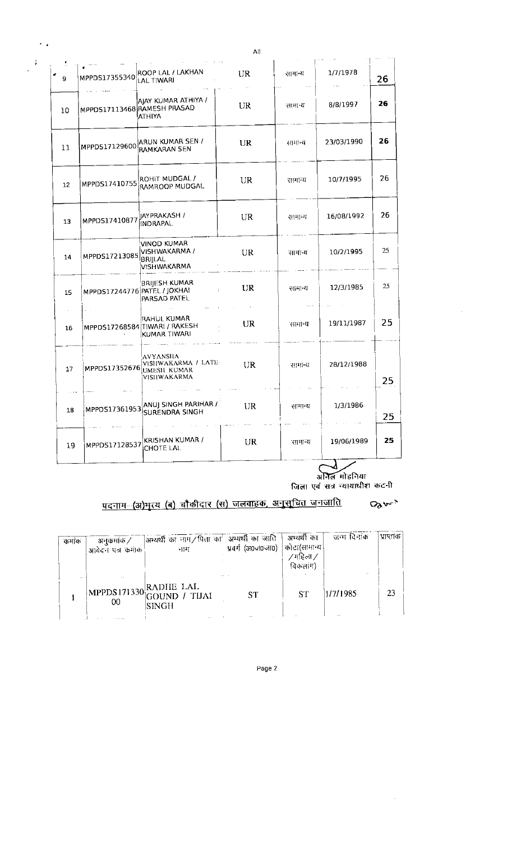|                 |                              |                                                                                    | ΑIΙ |         |            |    |
|-----------------|------------------------------|------------------------------------------------------------------------------------|-----|---------|------------|----|
| 9               | MPPDS17355340                | ROOP LAL / LAKHAN<br>LAL TIWARI                                                    | UR  | सामान्य | 1/7/1978   | 26 |
| 10              | MPPDS17113468 RAMESH PRASAD  | AJAY KUMAR ATHIYA /<br><b>ATHIYA</b>                                               | UR  | सामान्य | 8/8/1997   | 26 |
| 11              | MPPD517129600                | ARUN KUMAR SEN /<br>RAMKARAN SEN                                                   | UR  | सामान्य | 23/03/1990 | 26 |
| 12 <sup>°</sup> | MPPDS17410755                | ROHIT MUDGAL /<br>RAMROOP MUDGAL.                                                  | UR  | सामान्य | 10/7/1995  | 26 |
| 13              | MPPDS17410877                | IAYPRAKASH /<br>INDRAPAL                                                           | UR  | सामान्य | 16/08/1992 | 26 |
| 14              | MPPDS17213085                | VINOD KUMAR<br>VISHWAKARMA /<br><b>BRIJLAL</b><br>VISHWAKARMA                      | UR  | सामान्य | 10/2/1995  | 25 |
| 15              | MPPDS17244776 PATEL / JOKHAI | BRIJESH KUMAR<br>Ť.<br>PARSAD PATEL                                                | UR  | सामा य  | 12/3/1985  | 25 |
| 16              |                              | RAHUL KUMAR<br>MPPDS17268584 TIWARI / RAKESH<br>KUMAR TIWARI                       | UR  | सामा य  | 19/11/1987 | 25 |
| 17              |                              | <b>AVYANSHA</b><br>VISHWAKARMA / LATE-<br>MPPD517352676 UMESH KUMAR<br>VISHWAKARMA | UR  | सामान्य | 28/12/1988 | 25 |
| 18              | MPPDS17361953                | ANUJ SINGH PARIHAR / $^{\circ}$<br><b>SURENDRA SINGH</b>                           | UR  | सामान्य | 1/3/1986   | 25 |
| 19              | MPPDS17128537                | KRISHAN KUMAR /<br><b>CHOTE LAL</b>                                                | UR  | सामान्य | 19/06/1989 | 25 |

 $\epsilon_{\rm eff}$ 

 $\frac{1}{\sqrt{2\pi}}$ 

 $\sim 10^6$ 

 $\sim$ 

## <u>पदनाग (अ)भृत्य (ब) चौकीदार (स) जलवाहक, अनुसूचित जनजाति</u>  $89m$

| कर्माक | अनुकर्माक /<br>आवेदन पत्र कमाक | ]अभ्यर्थी का नाम/पिता का अभ्यर्थी का जाति   अभ्यर्थी का<br>$\mathbb{E}[\mathbf{H}]$ . | प्रवर्ग (अ०जं०जा०)   कोटा(सामान्थ | ∕ गहिला ∕<br>विकलांग) | जन्म दिनाक         | ' प्राप्ताक। |
|--------|--------------------------------|---------------------------------------------------------------------------------------|-----------------------------------|-----------------------|--------------------|--------------|
|        | 00                             | MPPDS171330 RADHE LAL<br>GOUND / TIJAI<br> SINGH                                      | ST                                | SТ                    | $\sim$<br>1/7/1985 | 23           |

Page 2